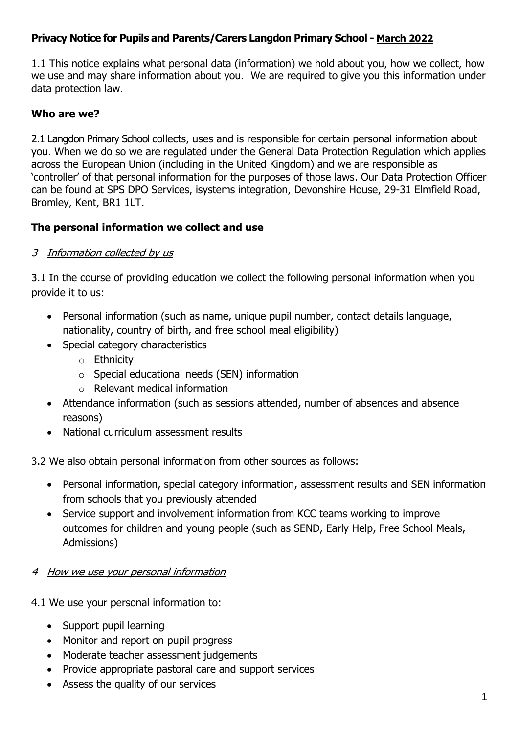### **Privacy Notice for Pupils and Parents/Carers Langdon Primary School - March 2022**

1.1 This notice explains what personal data (information) we hold about you, how we collect, how we use and may share information about you. We are required to give you this information under data protection law.

#### **Who are we?**

2.1 Langdon Primary School collects, uses and is responsible for certain personal information about you. When we do so we are regulated under the General Data Protection Regulation which applies across the European Union (including in the United Kingdom) and we are responsible as 'controller' of that personal information for the purposes of those laws. Our Data Protection Officer can be found at SPS DPO Services, isystems integration, Devonshire House, 29-31 Elmfield Road, Bromley, Kent, BR1 1LT.

#### **The personal information we collect and use**

#### 3 Information collected by us

3.1 In the course of providing education we collect the following personal information when you provide it to us:

- Personal information (such as name, unique pupil number, contact details language, nationality, country of birth, and free school meal eligibility)
- Special category characteristics
	- o Ethnicity
	- o Special educational needs (SEN) information
	- $\circ$  Relevant medical information
- Attendance information (such as sessions attended, number of absences and absence reasons)
- National curriculum assessment results

3.2 We also obtain personal information from other sources as follows:

- Personal information, special category information, assessment results and SEN information from schools that you previously attended
- Service support and involvement information from KCC teams working to improve outcomes for children and young people (such as SEND, Early Help, Free School Meals, Admissions)

#### 4 How we use your personal information

4.1 We use your personal information to:

- Support pupil learning
- Monitor and report on pupil progress
- Moderate teacher assessment judgements
- Provide appropriate pastoral care and support services
- Assess the quality of our services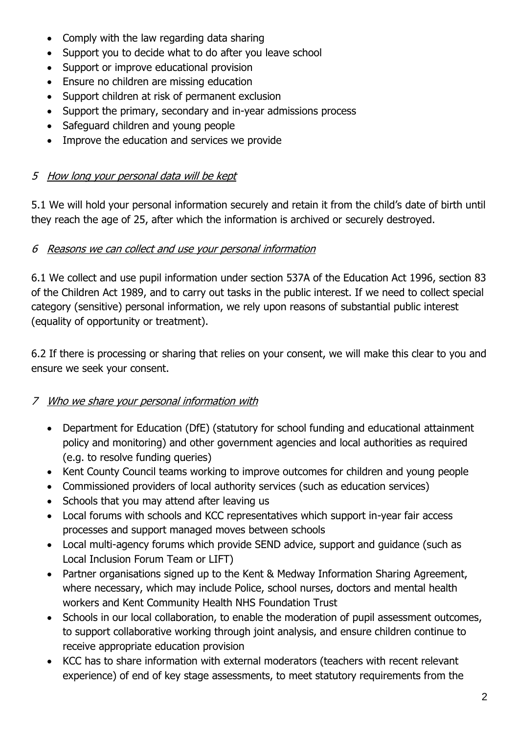- Comply with the law regarding data sharing
- Support you to decide what to do after you leave school
- Support or improve educational provision
- Ensure no children are missing education
- Support children at risk of permanent exclusion
- Support the primary, secondary and in-year admissions process
- Safeguard children and young people
- Improve the education and services we provide

## 5 How long your personal data will be kept

5.1 We will hold your personal information securely and retain it from the child's date of birth until they reach the age of 25, after which the information is archived or securely destroyed.

### 6 Reasons we can collect and use your personal information

6.1 We collect and use pupil information under section 537A of the Education Act 1996, section 83 of the Children Act 1989, and to carry out tasks in the public interest. If we need to collect special category (sensitive) personal information, we rely upon reasons of substantial public interest (equality of opportunity or treatment).

6.2 If there is processing or sharing that relies on your consent, we will make this clear to you and ensure we seek your consent.

# 7 Who we share your personal information with

- Department for Education (DfE) (statutory for school funding and educational attainment policy and monitoring) and other government agencies and local authorities as required (e.g. to resolve funding queries)
- Kent County Council teams working to improve outcomes for children and young people
- Commissioned providers of local authority services (such as education services)
- Schools that you may attend after leaving us
- Local forums with schools and KCC representatives which support in-year fair access processes and support managed moves between schools
- Local multi-agency forums which provide SEND advice, support and guidance (such as Local Inclusion Forum Team or LIFT)
- Partner organisations signed up to the Kent & Medway Information Sharing Agreement, where necessary, which may include Police, school nurses, doctors and mental health workers and Kent Community Health NHS Foundation Trust
- Schools in our local collaboration, to enable the moderation of pupil assessment outcomes, to support collaborative working through joint analysis, and ensure children continue to receive appropriate education provision
- KCC has to share information with external moderators (teachers with recent relevant experience) of end of key stage assessments, to meet statutory requirements from the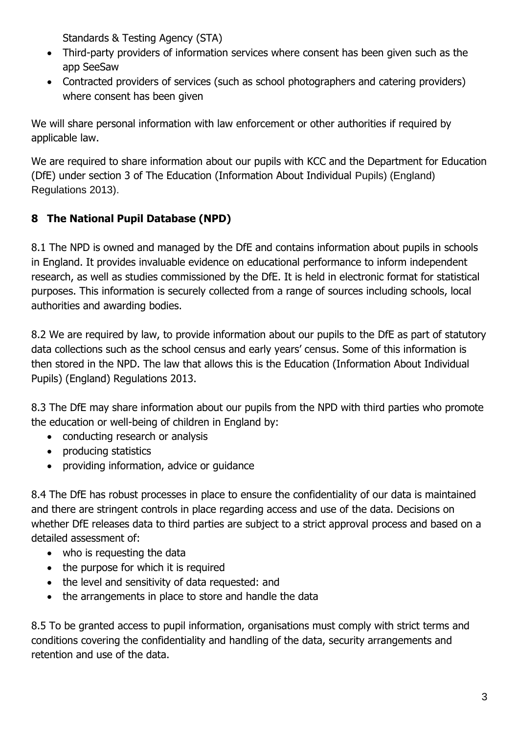Standards & Testing Agency (STA)

- Third-party providers of information services where consent has been given such as the app SeeSaw
- Contracted providers of services (such as school photographers and catering providers) where consent has been given

We will share personal information with law enforcement or other authorities if required by applicable law.

We are required to share information about our pupils with KCC and the Department for Education (DfE) under section 3 of The Education (Information About Individual Pupils) (England) Regulations 2013).

# **8 The National Pupil Database (NPD)**

8.1 The NPD is owned and managed by the DfE and contains information about pupils in schools in England. It provides invaluable evidence on educational performance to inform independent research, as well as studies commissioned by the DfE. It is held in electronic format for statistical purposes. This information is securely collected from a range of sources including schools, local authorities and awarding bodies.

8.2 We are required by law, to provide information about our pupils to the DfE as part of statutory data collections such as the school census and early years' census. Some of this information is then stored in the NPD. The law that allows this is the Education (Information About Individual Pupils) (England) Regulations 2013.

8.3 The DfE may share information about our pupils from the NPD with third parties who promote the education or well-being of children in England by:

- conducting research or analysis
- producing statistics
- providing information, advice or guidance

8.4 The DfE has robust processes in place to ensure the confidentiality of our data is maintained and there are stringent controls in place regarding access and use of the data. Decisions on whether DfE releases data to third parties are subject to a strict approval process and based on a detailed assessment of:

- who is requesting the data
- the purpose for which it is required
- the level and sensitivity of data requested: and
- the arrangements in place to store and handle the data

8.5 To be granted access to pupil information, organisations must comply with strict terms and conditions covering the confidentiality and handling of the data, security arrangements and retention and use of the data.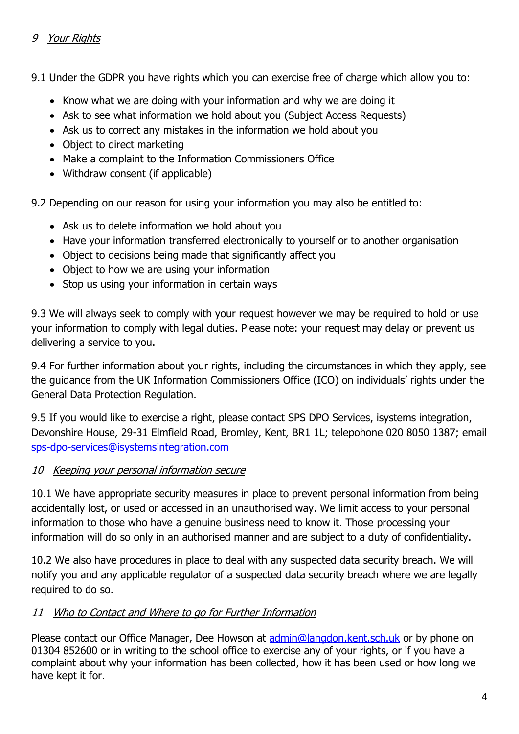### 9 Your Rights

9.1 Under the GDPR you have rights which you can exercise free of charge which allow you to:

- Know what we are doing with your information and why we are doing it
- Ask to see what information we hold about you (Subject Access Requests)
- Ask us to correct any mistakes in the information we hold about you
- Object to direct marketing
- Make a complaint to the Information Commissioners Office
- Withdraw consent (if applicable)

9.2 Depending on our reason for using your information you may also be entitled to:

- Ask us to delete information we hold about you
- Have your information transferred electronically to yourself or to another organisation
- Object to decisions being made that significantly affect you
- Object to how we are using your information
- Stop us using your information in certain ways

9.3 We will always seek to comply with your request however we may be required to hold or use your information to comply with legal duties. Please note: your request may delay or prevent us delivering a service to you.

9.4 For further information about your rights, including the circumstances in which they apply, see the guidance from the UK Information Commissioners Office (ICO) on individuals' rights under the General Data Protection Regulation.

9.5 If you would like to exercise a right, please contact SPS DPO Services, isystems integration, Devonshire House, 29-31 Elmfield Road, Bromley, Kent, BR1 1L; telepohone 020 8050 1387; email [sps-dpo-services@isystemsintegration.com](mailto:sps-dpo-services@isystemsintegration.com) 

### 10 Keeping your personal information secure

10.1 We have appropriate security measures in place to prevent personal information from being accidentally lost, or used or accessed in an unauthorised way. We limit access to your personal information to those who have a genuine business need to know it. Those processing your information will do so only in an authorised manner and are subject to a duty of confidentiality.

10.2 We also have procedures in place to deal with any suspected data security breach. We will notify you and any applicable regulator of a suspected data security breach where we are legally required to do so.

# 11 Who to Contact and Where to go for Further Information

Please contact our Office Manager, Dee Howson at [admin@langdon.kent.sch.uk](mailto:admin@langdon.kent.sch.uk) or by phone on 01304 852600 or in writing to the school office to exercise any of your rights, or if you have a complaint about why your information has been collected, how it has been used or how long we have kept it for.